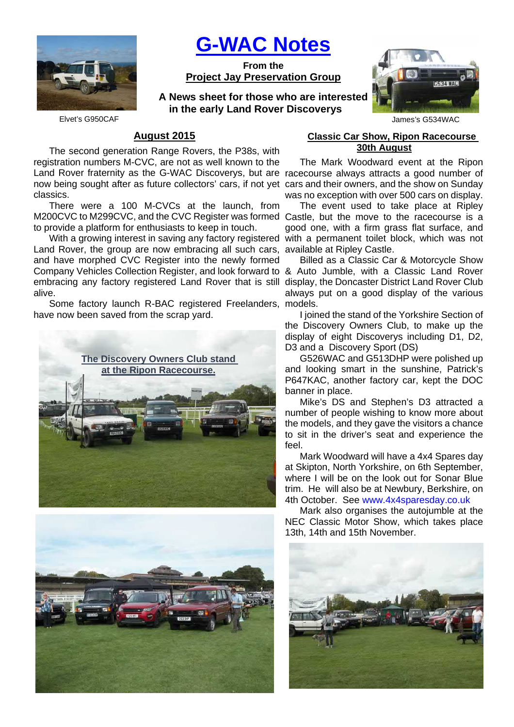

# **G-WAC Notes**

**From the Project Jay Preservation Group**

**A News sheet for those who are interested in the early Land Rover Discoverys**



Elvet's G950CAF James's G534WAC

# **August 2015**

Land Rover fraternity as the G-WAC Discoverys, but are racecourse always attracts a good number of now being sought after as future collectors' cars, if not yet cars and their owners, and the show on Sunday The second generation Range Rovers, the P38s, with registration numbers M-CVC, are not as well known to the classics.

M200CVC to M299CVC, and the CVC Register was formed Castle, but the move to the racecourse is a There were a 100 M-CVCs at the launch, from to provide a platform for enthusiasts to keep in touch.

Company Vehicles Collection Register, and look forward to & Auto Jumble, with a Classic Land Rover embracing any factory registered Land Rover that is still display, the Doncaster District Land Rover Club With a growing interest in saving any factory registered Land Rover, the group are now embracing all such cars, and have morphed CVC Register into the newly formed alive.

Some factory launch R-BAC registered Freelanders, models. have now been saved from the scrap yard.





### **Classic Car Show, Ripon Racecourse 30th August**

The Mark Woodward event at the Ripon was no exception with over 500 cars on display.

The event used to take place at Ripley good one, with a firm grass flat surface, and with a permanent toilet block, which was not available at Ripley Castle.

Billed as a Classic Car & Motorcycle Show always put on a good display of the various

I joined the stand of the Yorkshire Section of the Discovery Owners Club, to make up the display of eight Discoverys including D1, D2, D3 and a Discovery Sport (DS)

G526WAC and G513DHP were polished up and looking smart in the sunshine, Patrick's P647KAC, another factory car, kept the DOC banner in place.

Mike's DS and Stephen's D3 attracted a number of people wishing to know more about the models, and they gave the visitors a chance to sit in the driver's seat and experience the feel.

Mark Woodward will have a 4x4 Spares day at Skipton, North Yorkshire, on 6th September, where I will be on the look out for Sonar Blue trim. He will also be at Newbury, Berkshire, on 4th October. See www.4x4sparesday.co.uk

Mark also organises the autojumble at the NEC Classic Motor Show, which takes place 13th, 14th and 15th November.

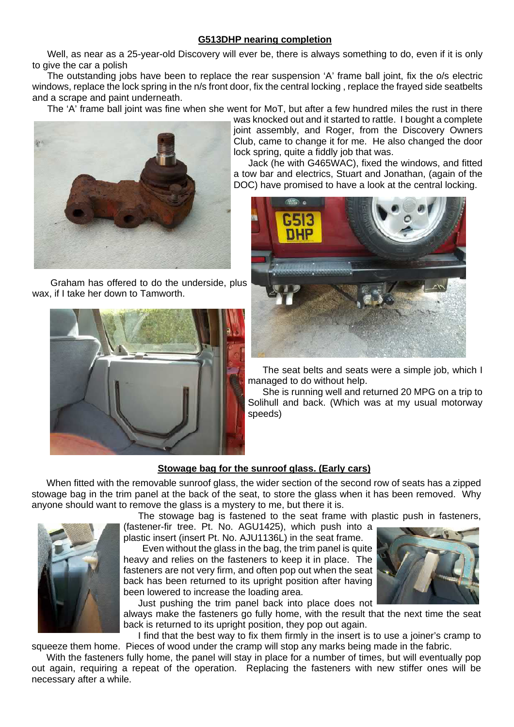# **G513DHP nearing completion**

Well, as near as a 25-year-old Discovery will ever be, there is always something to do, even if it is only to give the car a polish

The outstanding jobs have been to replace the rear suspension 'A' frame ball joint, fix the o/s electric windows, replace the lock spring in the n/s front door, fix the central locking , replace the frayed side seatbelts and a scrape and paint underneath.

The 'A' frame ball joint was fine when she went for MoT, but after a few hundred miles the rust in there



 Graham has offered to do the underside, plus wax, if I take her down to Tamworth.



was knocked out and it started to rattle. I bought a complete joint assembly, and Roger, from the Discovery Owners Club, came to change it for me. He also changed the door lock spring, quite a fiddly job that was.

Jack (he with G465WAC), fixed the windows, and fitted a tow bar and electrics, Stuart and Jonathan, (again of the DOC) have promised to have a look at the central locking.



The seat belts and seats were a simple job, which I managed to do without help.

She is running well and returned 20 MPG on a trip to Solihull and back. (Which was at my usual motorway speeds)

# **Stowage bag for the sunroof glass. (Early cars)**

When fitted with the removable sunroof glass, the wider section of the second row of seats has a zipped stowage bag in the trim panel at the back of the seat, to store the glass when it has been removed. Why anyone should want to remove the glass is a mystery to me, but there it is.

The stowage bag is fastened to the seat frame with plastic push in fasteners, (fastener-fir tree. Pt. No. AGU1425), which push into a



plastic insert (insert Pt. No. AJU1136L) in the seat frame.

 Even without the glass in the bag, the trim panel is quite heavy and relies on the fasteners to keep it in place. The fasteners are not very firm, and often pop out when the seat back has been returned to its upright position after having been lowered to increase the loading area.



Just pushing the trim panel back into place does not

always make the fasteners go fully home, with the result that the next time the seat back is returned to its upright position, they pop out again.

I find that the best way to fix them firmly in the insert is to use a joiner's cramp to squeeze them home. Pieces of wood under the cramp will stop any marks being made in the fabric.

With the fasteners fully home, the panel will stay in place for a number of times, but will eventually pop out again, requiring a repeat of the operation. Replacing the fasteners with new stiffer ones will be necessary after a while.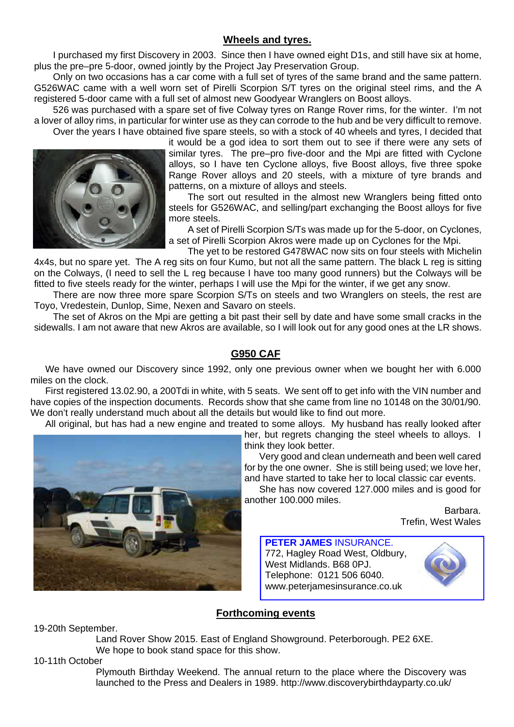# **Wheels and tyres.**

I purchased my first Discovery in 2003. Since then I have owned eight D1s, and still have six at home, plus the pre–pre 5-door, owned jointly by the Project Jay Preservation Group.

Only on two occasions has a car come with a full set of tyres of the same brand and the same pattern. G526WAC came with a well worn set of Pirelli Scorpion S/T tyres on the original steel rims, and the A registered 5-door came with a full set of almost new Goodyear Wranglers on Boost alloys.

526 was purchased with a spare set of five Colway tyres on Range Rover rims, for the winter. I'm not a lover of alloy rims, in particular for winter use as they can corrode to the hub and be very difficult to remove. Over the years I have obtained five spare steels, so with a stock of 40 wheels and tyres, I decided that



it would be a god idea to sort them out to see if there were any sets of similar tyres. The pre–pro five-door and the Mpi are fitted with Cyclone alloys, so I have ten Cyclone alloys, five Boost alloys, five three spoke Range Rover alloys and 20 steels, with a mixture of tyre brands and patterns, on a mixture of alloys and steels.

The sort out resulted in the almost new Wranglers being fitted onto steels for G526WAC, and selling/part exchanging the Boost alloys for five more steels.

A set of Pirelli Scorpion S/Ts was made up for the 5-door, on Cyclones, a set of Pirelli Scorpion Akros were made up on Cyclones for the Mpi.

The yet to be restored G478WAC now sits on four steels with Michelin 4x4s, but no spare yet. The A reg sits on four Kumo, but not all the same pattern. The black L reg is sitting on the Colways, (I need to sell the L reg because I have too many good runners) but the Colways will be fitted to five steels ready for the winter, perhaps I will use the Mpi for the winter, if we get any snow.

There are now three more spare Scorpion S/Ts on steels and two Wranglers on steels, the rest are Toyo, Vredestein, Dunlop, Sime, Nexen and Savaro on steels.

The set of Akros on the Mpi are getting a bit past their sell by date and have some small cracks in the sidewalls. I am not aware that new Akros are available, so I will look out for any good ones at the LR shows.

# **G950 CAF**

We have owned our Discovery since 1992, only one previous owner when we bought her with 6.000 miles on the clock.

First registered 13.02.90, a 200Tdi in white, with 5 seats. We sent off to get info with the VIN number and have copies of the inspection documents. Records show that she came from line no 10148 on the 30/01/90. We don't really understand much about all the details but would like to find out more.

All original, but has had a new engine and treated to some alloys. My husband has really looked after



her, but regrets changing the steel wheels to alloys. I think they look better.

Very good and clean underneath and been well cared for by the one owner. She is still being used; we love her, and have started to take her to local classic car events.

She has now covered 127.000 miles and is good for another 100.000 miles.

> Barbara. Trefin, West Wales

**PETER JAMES** INSURANCE. 772, Hagley Road West, Oldbury, West Midlands. B68 0PJ. Telephone: 0121 506 6040. www.peterjamesinsurance.co.uk



# **Forthcoming events**

19-20th September. Land Rover Show 2015. East of England Showground. Peterborough. PE2 6XE. We hope to book stand space for this show.

# 10-11th October

 Plymouth Birthday Weekend. The annual return to the place where the Discovery was launched to the Press and Dealers in 1989. http://www.discoverybirthdayparty.co.uk/